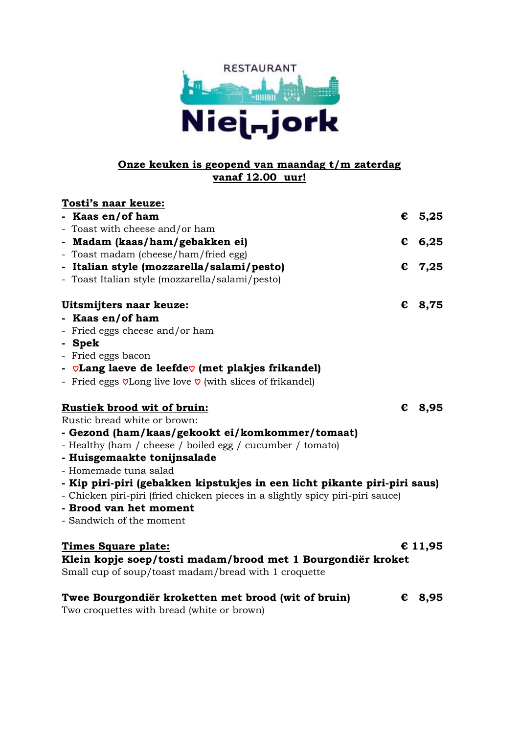

#### **Onze keuken is geopend van maandag t/m zaterdag vanaf 12.00 uur!**

| Tosti's naar keuze:                                                                                                 |   |         |
|---------------------------------------------------------------------------------------------------------------------|---|---------|
| - Kaas en/of ham                                                                                                    |   | € 5,25  |
| - Toast with cheese and/or ham                                                                                      |   |         |
| - Madam (kaas/ham/gebakken ei)                                                                                      |   | € 6,25  |
| - Toast madam (cheese/ham/fried egg)                                                                                |   |         |
| - Italian style (mozzarella/salami/pesto)                                                                           | € | 7,25    |
| - Toast Italian style (mozzarella/salami/pesto)                                                                     |   |         |
| Uitsmijters naar keuze:                                                                                             | € | 8,75    |
| - Kaas en/of ham                                                                                                    |   |         |
| - Fried eggs cheese and/or ham                                                                                      |   |         |
| - Spek                                                                                                              |   |         |
| - Fried eggs bacon                                                                                                  |   |         |
| - $\heartsuit$ Lang laeve de leefde $\heartsuit$ (met plakjes frikandel)                                            |   |         |
| - Fried eggs $\sqrt{v}$ Long live love $\sqrt{v}$ (with slices of frikandel)                                        |   |         |
| Rustiek brood wit of bruin:                                                                                         |   | € 8,95  |
| Rustic bread white or brown:                                                                                        |   |         |
| - Gezond (ham/kaas/gekookt ei/komkommer/tomaat)                                                                     |   |         |
| - Healthy (ham / cheese / boiled egg / cucumber / tomato)                                                           |   |         |
| - Huisgemaakte tonijnsalade                                                                                         |   |         |
| - Homemade tuna salad                                                                                               |   |         |
| - Kip piri-piri (gebakken kipstukjes in een licht pikante piri-piri saus)                                           |   |         |
| - Chicken piri-piri (fried chicken pieces in a slightly spicy piri-piri sauce)                                      |   |         |
| - Brood van het moment                                                                                              |   |         |
| - Sandwich of the moment                                                                                            |   |         |
| <u>Times Square plate:</u>                                                                                          |   | € 11,95 |
| Klein kopje soep/tosti madam/brood met 1 Bourgondiër kroket<br>Small cup of soup/toast madam/bread with 1 croquette |   |         |
| Twee Bourgondiër kroketten met brood (wit of bruin)                                                                 |   | € 8,95  |
|                                                                                                                     |   |         |

Two croquettes with bread (white or brown)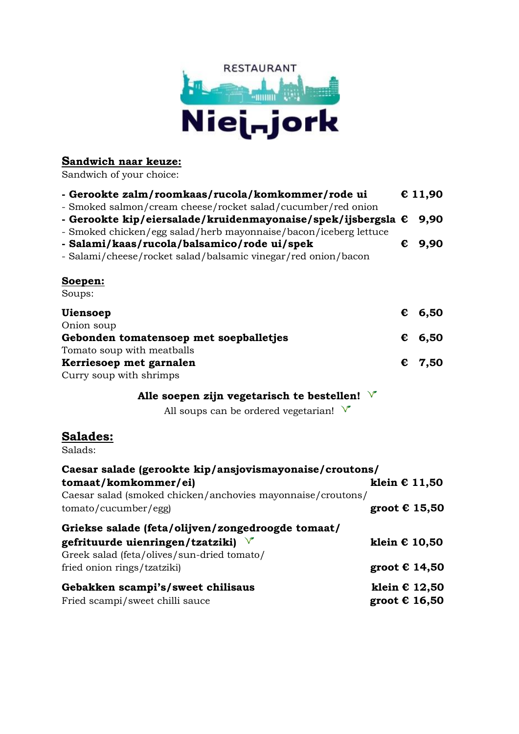

#### **Sandwich naar keuze:**

Sandwich of your choice:

| - Gerookte zalm/roomkaas/rucola/komkommer/rode ui                                                                                                                                                |                        | € 11,90  |
|--------------------------------------------------------------------------------------------------------------------------------------------------------------------------------------------------|------------------------|----------|
| - Smoked salmon/cream cheese/rocket salad/cucumber/red onion<br>- Gerookte kip/eiersalade/kruidenmayonaise/spek/ijsbergsla €<br>- Smoked chicken/egg salad/herb mayonnaise/bacon/iceberg lettuce |                        | 9,90     |
| - Salami/kaas/rucola/balsamico/rode ui/spek<br>- Salami/cheese/rocket salad/balsamic vinegar/red onion/bacon                                                                                     | €                      | 9,90     |
| Soepen:<br>Soups:                                                                                                                                                                                |                        |          |
| <b>Uiensoep</b><br>Onion soup                                                                                                                                                                    |                        | € $6,50$ |
| Gebonden tomatensoep met soepballetjes<br>Tomato soup with meatballs                                                                                                                             | €                      | 6,50     |
| Kerriesoep met garnalen<br>Curry soup with shrimps                                                                                                                                               | €                      | 7,50     |
| Alle soepen zijn vegetarisch te bestellen! $\sqrt{ }$<br>All soups can be ordered vegetarian! $\sqrt{\ }$                                                                                        |                        |          |
| Salades:<br>Salads:                                                                                                                                                                              |                        |          |
| Caesar salade (gerookte kip/ansjovismayonaise/croutons/<br>tomaat/komkommer/ei)<br>Caesar salad (smoked chicken/anchovies mayonnaise/croutons/                                                   | klein $\epsilon$ 11,50 |          |
| tomato/cucumber/egg)                                                                                                                                                                             | groot $\epsilon$ 15,50 |          |
| Griekse salade (feta/olijven/zongedroogde tomaat/<br>gefrituurde uienringen/tzatziki) $\sqrt{ }$                                                                                                 | klein $\epsilon$ 10,50 |          |
| Greek salad (feta/olives/sun-dried tomato/<br>fried onion rings/tzatziki)                                                                                                                        | groot € 14,50          |          |

**Gebakken scampi's/sweet chilisaus klein € 12,50** Fried scampi/sweet chilli sauce **groot € 16,50**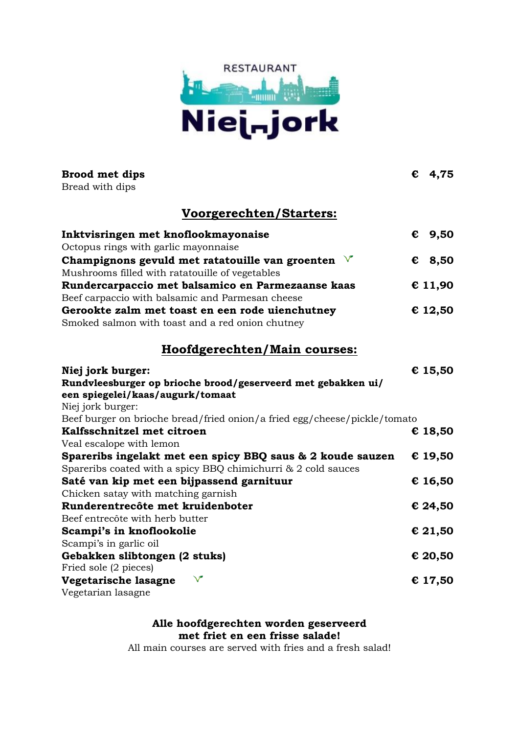

| <b>Brood met dips</b><br>Bread with dips                                                                      |   | € $4,75$        |
|---------------------------------------------------------------------------------------------------------------|---|-----------------|
|                                                                                                               |   |                 |
| Voorgerechten/Starters:                                                                                       |   |                 |
| Inktvisringen met knoflookmayonaise                                                                           |   | $\epsilon$ 9,50 |
| Octopus rings with garlic mayonnaise                                                                          |   |                 |
| Champignons gevuld met ratatouille van groenten $\sqrt{ }$<br>Mushrooms filled with ratatouille of vegetables | € | 8,50            |
| Rundercarpaccio met balsamico en Parmezaanse kaas                                                             |   | € 11,90         |
| Beef carpaccio with balsamic and Parmesan cheese                                                              |   |                 |
| Gerookte zalm met toast en een rode uienchutney                                                               |   | € 12,50         |
| Smoked salmon with toast and a red onion chutney                                                              |   |                 |
| Hoofdgerechten/Main courses:                                                                                  |   |                 |
| Niej jork burger:                                                                                             |   | € 15,50         |
| Rundvleesburger op brioche brood/geserveerd met gebakken ui/                                                  |   |                 |
| een spiegelei/kaas/augurk/tomaat                                                                              |   |                 |
| Niej jork burger:                                                                                             |   |                 |
| Beef burger on brioche bread/fried onion/a fried egg/cheese/pickle/tomato                                     |   |                 |
| Kalfsschnitzel met citroen                                                                                    |   | € 18,50         |
| Veal escalope with lemon                                                                                      |   |                 |
| Spareribs ingelakt met een spicy BBQ saus & 2 koude sauzen                                                    |   | € 19,50         |
| Spareribs coated with a spicy BBQ chimichurri & 2 cold sauces                                                 |   |                 |
| Saté van kip met een bijpassend garnituur                                                                     |   | € 16,50         |
| Chicken satay with matching garnish                                                                           |   |                 |
| Runderentrecôte met kruidenboter                                                                              |   | € 24,50         |
| Beef entrecôte with herb butter                                                                               |   |                 |
| Scampi's in knoflookolie                                                                                      |   | € 21,50         |
| Scampi's in garlic oil                                                                                        |   |                 |
| Gebakken slibtongen (2 stuks)                                                                                 |   | € 20,50         |
| Fried sole (2 pieces)                                                                                         |   |                 |
| $\sqrt{}$<br>Vegetarische lasagne                                                                             |   | € 17,50         |
| Vegetarian lasagne                                                                                            |   |                 |

**Alle hoofdgerechten worden geserveerd met friet en een frisse salade!**

All main courses are served with fries and a fresh salad!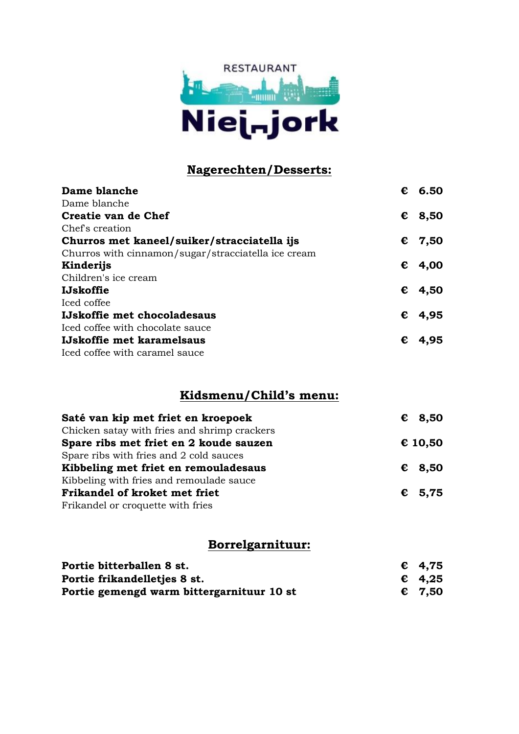

## **Nagerechten/Desserts:**

| Dame blanche                                        | € | 6.50            |
|-----------------------------------------------------|---|-----------------|
| Dame blanche                                        |   |                 |
| Creatie van de Chef                                 | € | 8,50            |
| Chef's creation                                     |   |                 |
| Churros met kaneel/suiker/stracciatella ijs         |   | $\epsilon$ 7,50 |
| Churros with cinnamon/sugar/stracciatella ice cream |   |                 |
| Kinderijs                                           | € | 4,00            |
| Children's ice cream                                |   |                 |
| <b>IJskoffie</b>                                    | € | 4,50            |
| Iced coffee                                         |   |                 |
| IJskoffie met chocoladesaus                         | € | 4,95            |
| Iced coffee with chocolate sauce                    |   |                 |
| IJskoffie met karamelsaus                           | € | 4,95            |
| Iced coffee with caramel sauce                      |   |                 |

### **Kidsmenu/Child's menu:**

| Saté van kip met friet en kroepoek           | $\epsilon$ 8,50 |
|----------------------------------------------|-----------------|
| Chicken satay with fries and shrimp crackers |                 |
| Spare ribs met friet en 2 koude sauzen       | € 10,50         |
| Spare ribs with fries and 2 cold sauces      |                 |
| Kibbeling met friet en remouladesaus         | $\epsilon$ 8,50 |
| Kibbeling with fries and remoulade sauce     |                 |
| Frikandel of kroket met friet                | $\epsilon$ 5,75 |
| Frikandel or croquette with fries            |                 |

### **Borrelgarnituur:**

| Portie bitterballen 8 st.                 | $\epsilon$ 4,75 |
|-------------------------------------------|-----------------|
| Portie frikandelletjes 8 st.              | $\epsilon$ 4,25 |
| Portie gemengd warm bittergarnituur 10 st | $\epsilon$ 7,50 |